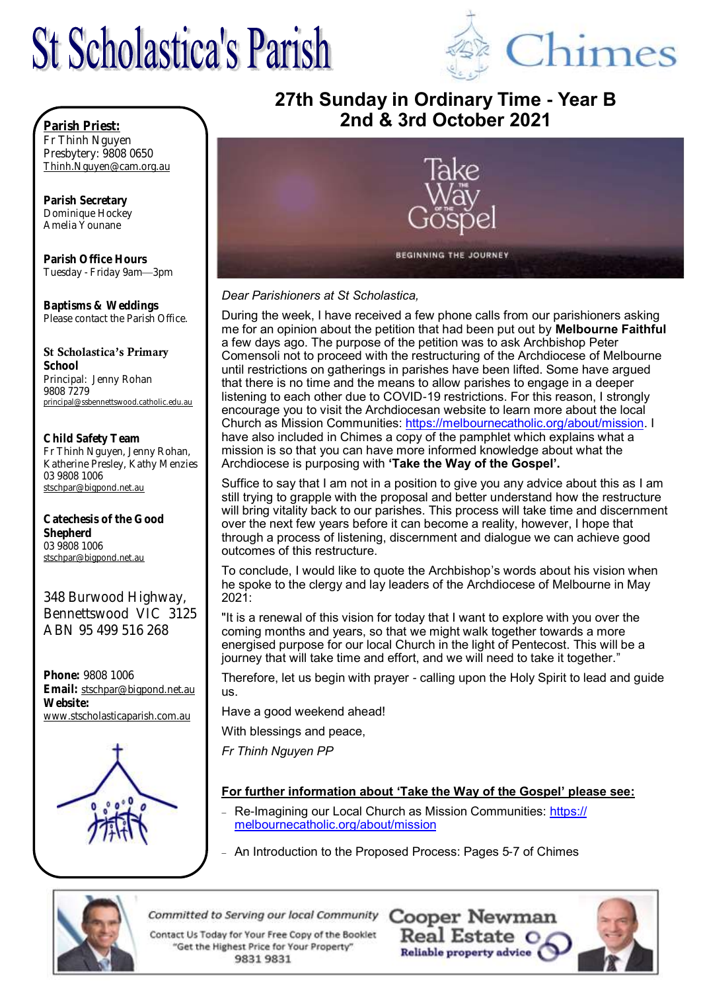# **St Scholastica's Parish**

Parish Priest: Fr Thinh Nguyen Presbytery: 9808 0650 Thinh.Nguyen@cam.org.au

Parish Secretary Dominique Hockey Amelia Younane

Parish Office Hours Tuesday - Friday 9am—3pm

Baptisms & Weddings Please contact the Parish Office.

St Scholastica's Primary

principal@ssbennettswood.catholic.edu.au

Fr Thinh Nguyen, Jenny Rohan, Katherine Presley, Kathy Menzies

Catechesis of the Good

348 Burwood Highway, Bennettswood VIC 3125 ABN 95 499 516 268

Email: stschpar@bigpond.net.au

www.stscholasticaparish.com.au

stschpar@bigpond.net.au

Phone: 9808 1006

Website:

Principal: Jenny Rohan

Child Safety Team

School

9808 7279

03 9808 1006 stschpar@bigpond.net.au

Shepherd 03 9808 1006



# **27th Sunday in Ordinary Time - Year B 2nd & 3rd October 2021**



## *Dear Parishioners at St Scholastica,*

During the week, I have received a few phone calls from our parishioners asking me for an opinion about the petition that had been put out by **Melbourne Faithful**  a few days ago. The purpose of the petition was to ask Archbishop Peter Comensoli not to proceed with the restructuring of the Archdiocese of Melbourne until restrictions on gatherings in parishes have been lifted. Some have argued that there is no time and the means to allow parishes to engage in a deeper listening to each other due to COVID-19 restrictions. For this reason, I strongly encourage you to visit the Archdiocesan website to learn more about the local Church as Mission Communities: [https://melbournecatholic.org/about/mission.](https://melbournecatholic.org/about/mission) I have also included in Chimes a copy of the pamphlet which explains what a mission is so that you can have more informed knowledge about what the Archdiocese is purposing with **'Take the Way of the Gospel'.**

Suffice to say that I am not in a position to give you any advice about this as I am still trying to grapple with the proposal and better understand how the restructure will bring vitality back to our parishes. This process will take time and discernment over the next few years before it can become a reality, however, I hope that through a process of listening, discernment and dialogue we can achieve good outcomes of this restructure.

To conclude, I would like to quote the Archbishop's words about his vision when he spoke to the clergy and lay leaders of the Archdiocese of Melbourne in May 2021:

"It is a renewal of this vision for today that I want to explore with you over the coming months and years, so that we might walk together towards a more energised purpose for our local Church in the light of Pentecost. This will be a journey that will take time and effort, and we will need to take it together."

Therefore, let us begin with prayer - calling upon the Holy Spirit to lead and guide us.

Have a good weekend ahead!

With blessings and peace,

*Fr Thinh Nguyen PP*

## **For further information about 'Take the Way of the Gospel' please see:**

- Re-Imagining our Local Church as Mission Communities: [https://](https://melbournecatholic.org/about/mission) [melbournecatholic.org/about/mission](https://melbournecatholic.org/about/mission)
- − An Introduction to the Proposed Process: Pages 5-7 of Chimes



Committed to Serving our local Community

Contact Us Today for Your Free Copy of the Booklet "Get the Highest Price for Your Property" 98319831

**Cooper Newman** Real Estate O Reliable property advice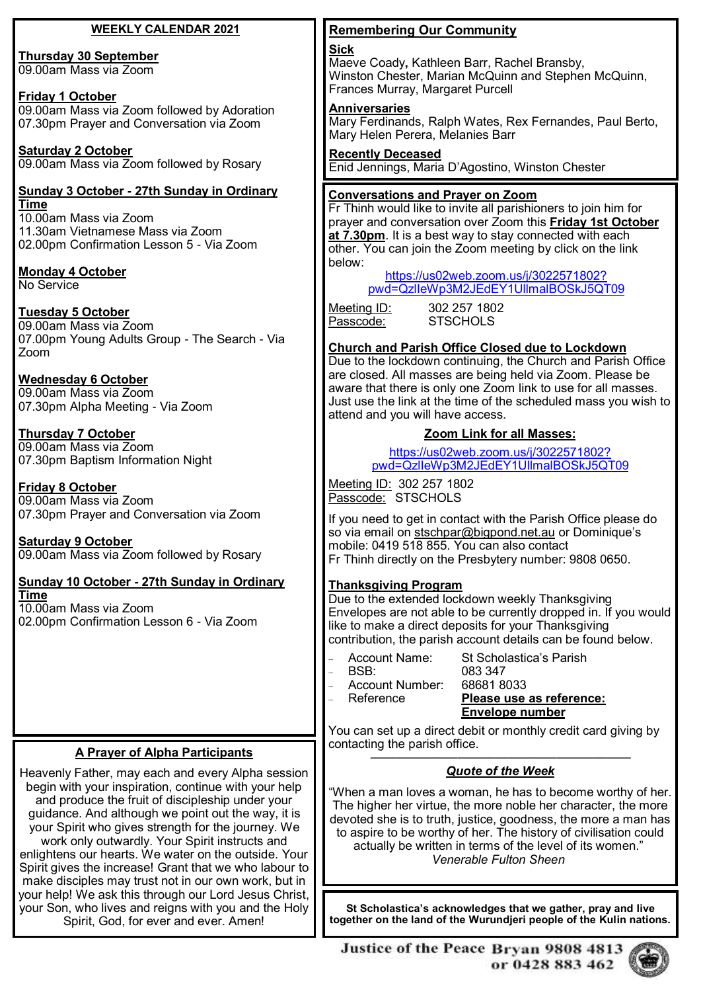## **WEEKLY CALENDAR 2021**

**Thursday 30 September** 

09.00am Mass via Zoom

**Friday 1 October**  09.00am Mass via Zoom followed by Adoration 07.30pm Prayer and Conversation via Zoom

**Saturday 2 October** 09.00am Mass via Zoom followed by Rosary

## **Sunday 3 October - 27th Sunday in Ordinary Time**

10.00am Mass via Zoom 11.30am Vietnamese Mass via Zoom 02.00pm Confirmation Lesson 5 - Via Zoom

**Monday 4 October** No Service

**Tuesday 5 October** 09.00am Mass via Zoom 07.00pm Young Adults Group - The Search - Via Zoom

**Wednesday 6 October** 09.00am Mass via Zoom 07.30pm Alpha Meeting - Via Zoom

**Thursday 7 October**  09.00am Mass via Zoom 07.30pm Baptism Information Night

**Friday 8 October** 09.00am Mass via Zoom 07.30pm Prayer and Conversation via Zoom

**Saturday 9 October** 09.00am Mass via Zoom followed by Rosary

## **Sunday 10 October - 27th Sunday in Ordinary Time**

10.00am Mass via Zoom 02.00pm Confirmation Lesson 6 - Via Zoom

## **A Prayer of Alpha Participants**

Heavenly Father, may each and every Alpha session begin with your inspiration, continue with your help and produce the fruit of discipleship under your guidance. And although we point out the way, it is your Spirit who gives strength for the journey. We work only outwardly. Your Spirit instructs and enlightens our hearts. We water on the outside. Your Spirit gives the increase! Grant that we who labour to make disciples may trust not in our own work, but in your help! We ask this through our Lord Jesus Christ, your Son, who lives and reigns with you and the Holy Spirit, God, for ever and ever. Amen!

## **Remembering Our Community**

## **Sick**

Maeve Coady**,** Kathleen Barr, Rachel Bransby, Winston Chester, Marian McQuinn and Stephen McQuinn, Frances Murray, Margaret Purcell

## **Anniversaries**

Mary Ferdinands, Ralph Wates, Rex Fernandes, Paul Berto, Mary Helen Perera, Melanies Barr

**Recently Deceased**

Enid Jennings, Maria D'Agostino, Winston Chester

## **Conversations and Prayer on Zoom**

Fr Thinh would like to invite all parishioners to join him for prayer and conversation over Zoom this **Friday 1st October at 7.30pm**. It is a best way to stay connected with each other. You can join the Zoom meeting by click on the link below:

[https://us02web.zoom.us/j/3022571802?](https://us02web.zoom.us/j/3022571802?pwd=QzlIeWp3M2JEdEY1UllmalBOSkJ5QT09%20) [pwd=QzlIeWp3M2JEdEY1UllmalBOSkJ5QT09](https://us02web.zoom.us/j/3022571802?pwd=QzlIeWp3M2JEdEY1UllmalBOSkJ5QT09%20)

Passcode:

Meeting ID: 302 257 1802<br>Passcode: STSCHOLS

## **Church and Parish Office Closed due to Lockdown**

Due to the lockdown continuing, the Church and Parish Office are closed. All masses are being held via Zoom. Please be aware that there is only one Zoom link to use for all masses. Just use the link at the time of the scheduled mass you wish to attend and you will have access.

## **Zoom Link for all Masses:**

[https://us02web.zoom.us/j/3022571802?](https://us02web.zoom.us/j/3022571802?pwd=QzlIeWp3M2JEdEY1UllmalBOSkJ5QT09%20) [pwd=QzlIeWp3M2JEdEY1UllmalBOSkJ5QT09](https://us02web.zoom.us/j/3022571802?pwd=QzlIeWp3M2JEdEY1UllmalBOSkJ5QT09%20)

Meeting ID: 302 257 1802 Passcode: STSCHOLS

If you need to get in contact with the Parish Office please do so via email on stschpar@bigpond.net.au or Dominique's mobile: 0419 518 855. You can also contact Fr Thinh directly on the Presbytery number: 9808 0650.

## **Thanksgiving Program**

Due to the extended lockdown weekly Thanksgiving Envelopes are not able to be currently dropped in. If you would like to make a direct deposits for your Thanksgiving contribution, the parish account details can be found below.

- − Account Name: St Scholastica's Parish
- − BSB: 083 347
- 

## − Account Number: 68681 8033 − Reference **Please use as reference: Envelope number**

You can set up a direct debit or monthly credit card giving by contacting the parish office. —————————————————————

## *Quote of the Week*

"When a man loves a woman, he has to become worthy of her. The higher her virtue, the more noble her character, the more devoted she is to truth, justice, goodness, the more a man has to aspire to be worthy of her. The history of civilisation could actually be written in terms of the level of its women." *Venerable Fulton Sheen*

**St Scholastica's acknowledges that we gather, pray and live together on the land of the Wurundjeri people of the Kulin nations.**

Justice of the Peace Bryan 9808 4813 or 0428 883 462

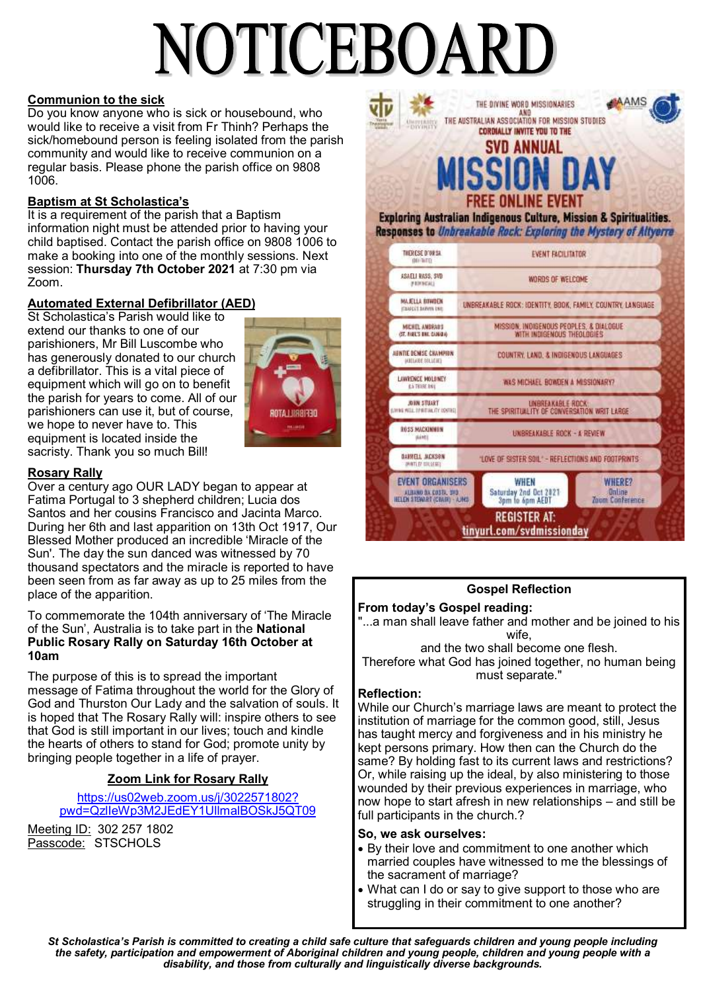# NOTICEBOAR

## **Communion to the sick**

Do you know anyone who is sick or housebound, who would like to receive a visit from Fr Thinh? Perhaps the sick/homebound person is feeling isolated from the parish community and would like to receive communion on a regular basis. Please phone the parish office on 9808 1006.

## **Baptism at St Scholastica's**

It is a requirement of the parish that a Baptism information night must be attended prior to having your child baptised. Contact the parish office on 9808 1006 to make a booking into one of the monthly sessions. Next session: **Thursday 7th October 2021** at 7:30 pm via Zoom.

## **Automated External Defibrillator (AED)**

St Scholastica's Parish would like to extend our thanks to one of our parishioners, Mr Bill Luscombe who has generously donated to our church a defibrillator. This is a vital piece of equipment which will go on to benefit the parish for years to come. All of our parishioners can use it, but of course, we hope to never have to. This equipment is located inside the sacristy. Thank you so much Bill!



## **Rosary Rally**

Over a century ago OUR LADY began to appear at Fatima Portugal to 3 shepherd children; Lucia dos Santos and her cousins Francisco and Jacinta Marco. During her 6th and last apparition on 13th Oct 1917, Our Blessed Mother produced an incredible 'Miracle of the Sun'. The day the sun danced was witnessed by 70 thousand spectators and the miracle is reported to have been seen from as far away as up to 25 miles from the place of the apparition.

To commemorate the 104th anniversary of 'The Miracle of the Sun', Australia is to take part in the **National Public Rosary Rally on Saturday 16th October at 10am**

The purpose of this is to spread the important message of Fatima throughout the world for the Glory of God and Thurston Our Lady and the salvation of souls. It is hoped that The Rosary Rally will: inspire others to see that God is still important in our lives; touch and kindle the hearts of others to stand for God; promote unity by bringing people together in a life of prayer.

## **Zoom Link for Rosary Rally**

[https://us02web.zoom.us/j/3022571802?](https://us02web.zoom.us/j/3022571802?pwd=QzlIeWp3M2JEdEY1UllmalBOSkJ5QT09%20) [pwd=QzlIeWp3M2JEdEY1UllmalBOSkJ5QT09](https://us02web.zoom.us/j/3022571802?pwd=QzlIeWp3M2JEdEY1UllmalBOSkJ5QT09%20)

Meeting ID: 302 257 1802 Passcode: STSCHOLS



## **Gospel Reflection**

# **From today's Gospel reading:**

...a man shall leave father and mother and be joined to his wife,

and the two shall become one flesh.

Therefore what God has joined together, no human being must separate."

## **Reflection:**

While our Church's marriage laws are meant to protect the institution of marriage for the common good, still, Jesus has taught mercy and forgiveness and in his ministry he kept persons primary. How then can the Church do the same? By holding fast to its current laws and restrictions? Or, while raising up the ideal, by also ministering to those wounded by their previous experiences in marriage, who now hope to start afresh in new relationships – and still be full participants in the church.?

## **So, we ask ourselves:**

- By their love and commitment to one another which married couples have witnessed to me the blessings of the sacrament of marriage?
- What can I do or say to give support to those who are struggling in their commitment to one another?

*St Scholastica's Parish is committed to creating a child safe culture that safeguards children and young people including the safety, participation and empowerment of Aboriginal children and young people, children and young people with a disability, and those from culturally and linguistically diverse backgrounds.*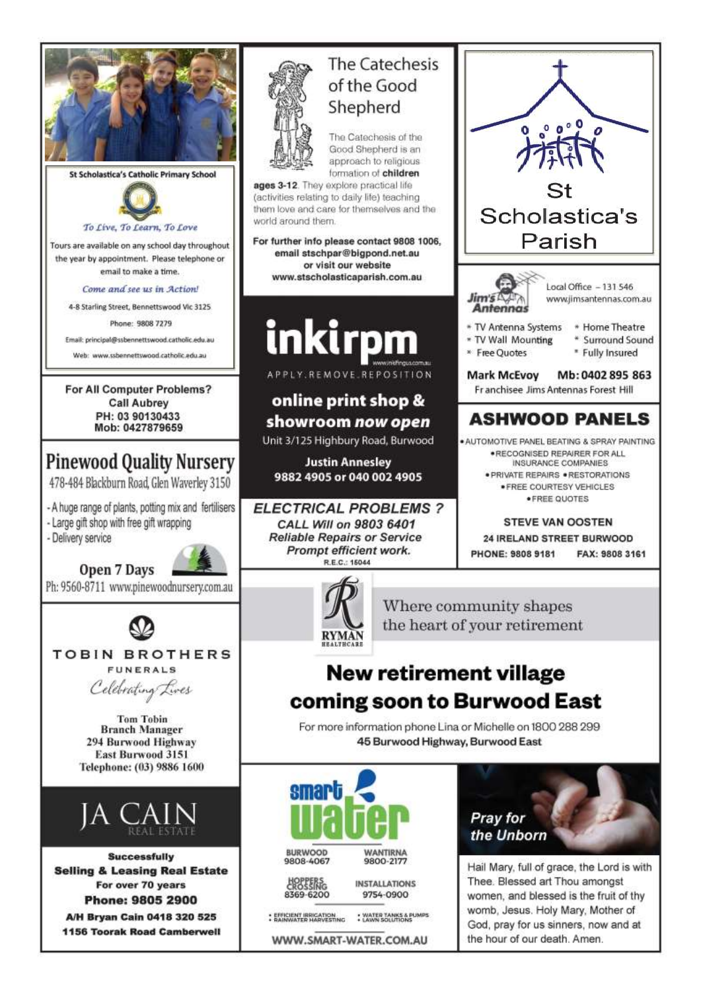

1156 Toorak Road Camberwell



# **The Catechesis** of the Good Shepherd

The Catechesis of the Good Shepherd is an approach to religious formation of children

ages 3-12. They explore practical life (activities relating to daily life) teaching them love and care for themselves and the world around them.

For further info please contact 9808 1006, email stschpar@bigpond.net.au or visit our website www.stscholasticaparish.com.au



# online print shop & showroom *now open*

Unit 3/125 Highbury Road, Burwood

**Justin Annesley** 9882 4905 or 040 002 4905

**ELECTRICAL PROBLEMS?** CALL Will on 9803 6401 **Reliable Repairs or Service** Prompt efficient work. R.E.C.: 15044



the heart of your retirement

# **New retirement village** coming soon to Burwood East

For more information phone Lina or Michelle on 1800 288 299 45 Burwood Highway, Burwood East





**INSTALLATIONS** 9754-0900

\* WATER TANKS & PUMPS<br>\* LAWN SOLUTIONS · EFFICIENT IRRIGATION<br>• RAINWATER HARVESTING

WWW.SMART-WATER.COM.AU





\* Free Quotes

\* TV Wall Mounting

Local Office - 131 546 www.jimsantennas.com.au

- \* TV Antenna Systems
	- \* Home Theatre \* Surround Sound
		- \* Fully Insured

#### **Mark McEvov** Mb: 0402 895 863

Fr anchisee Jims Antennas Forest Hill

# **ASHWOOD PANELS**

· AUTOMOTIVE PANEL BEATING & SPRAY PAINTING \*RECOGNISED REPAIRER FOR ALL INSURANCE COMPANIES · PRIVATE REPAIRS · RESTORATIONS · FREE COURTESY VEHICLES · FREE QUOTES

**STEVE VAN OOSTEN** 24 IRELAND STREET BURWOOD PHONE: 9808 9181 FAX: 9808 3161



Pray for the Unborn

Hail Mary, full of grace, the Lord is with Thee. Blessed art Thou amongst women, and blessed is the fruit of thy womb, Jesus. Holy Mary, Mother of God, pray for us sinners, now and at the hour of our death. Amen.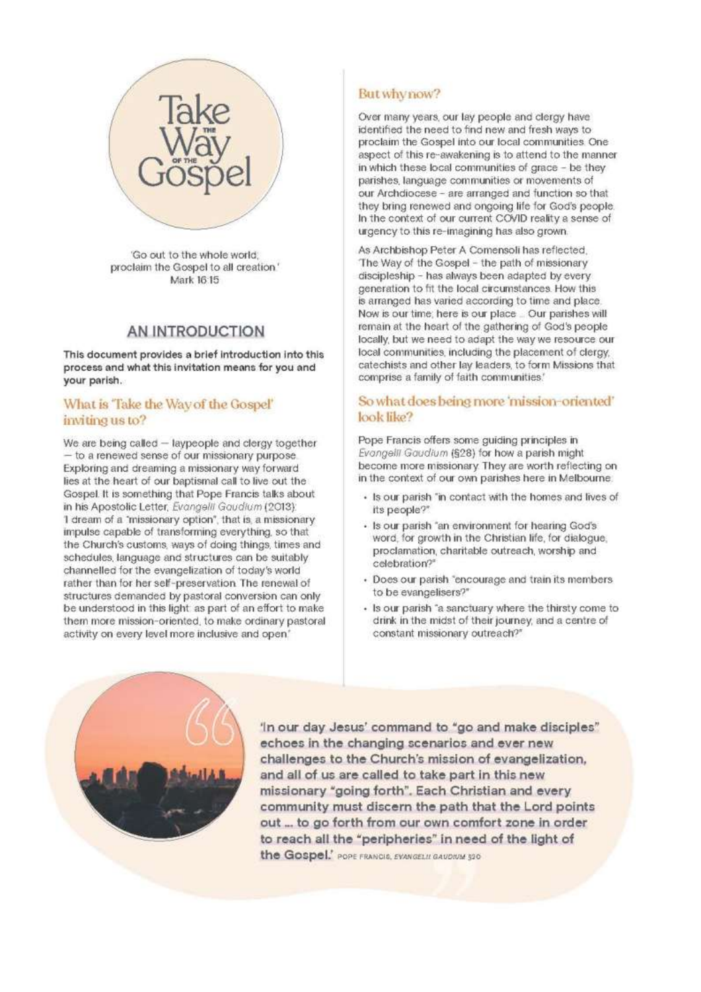

'Go out to the whole world: proclaim the Gospel to all creation' Mark 16 15

## AN INTRODUCTION

This document provides a brief introduction into this process and what this invitation means for you and your parish.

## What is "Take the Way of the Gospel" inviting us to?

We are being called - laypeople and clergy together - to a renewed sense of our missionary purpose. Exploring and dreaming a missionary way forward lies at the heart of our baptismal call to live out the Gospel It is something that Pope Francis talks about in his Apostolic Letter, Evangelii Gaudium (2013); 1 dream of a "missionary option", that is, a missionary impulse capable of transforming everything, so that the Church's customs, ways of doing things, times and schedules, language and structures can be suitably channelled for the evangelization of today's world rather than for her self-preservation. The renewal of structures demanded by pastoral conversion can only be understood in this light as part of an effort to make them more mission-oriented, to make ordinary pastoral activity on every level more inclusive and open'

## But why now?

Over many years, our lay people and clergy have identified the need to find new and fresh ways to proclaim the Gospel into our local communities. One aspect of this re-awakening is to attend to the manner in which these local communities of grace - be they parishes, language communities or movements of our Archdiocese - are arranged and function so that they bring renewed and ongoing life for God's people. In the context of our current COVID reality a sense of urgency to this re-imagining has also grown.

As Archbishop Peter A Comensoli has reflected. The Way of the Gospel - the path of missionary discipleship - has always been adapted by every generation to fit the local circumstances. How this is arranged has varied according to time and place. Now is our time; here is our place ... Our parishes will remain at the heart of the gathering of God's people locally, but we need to adapt the way we resource our local communities, including the placement of clergy, catechists and other lay leaders, to form Missions that comprise a family of faith communities.

## So what does being more 'mission-oriented' look like?

Pope Francis offers some quiding principles in Evongelii Gaudium (§28) for how a parish might become more missionary. They are worth reflecting on in the context of our own parishes here in Melbourne.

- · Is our parish "in contact with the homes and lives of its people?"
- · Is our parish "an environment for hearing God's word, for growth in the Christian life, for dialogue, proclamation, charitable outreach, worship and celebration<sup>2</sup>
- Does our parish "encourage and train its members to be evangelisers?"
- · Is our parish "a sanctuary where the thirsty come to drink in the midst of their journey, and a centre of constant missionary outreach?"



'In our day Jesus' command to "go and make disciples" echoes in the changing scenarios and ever new challenges to the Church's mission of evangelization. and all of us are called to take part in this new missionary "going forth". Each Christian and every community must discern the path that the Lord points out ... to go forth from our own comfort zone in order to reach all the "peripheries" in need of the light of the Gospel,' POPE FRANCIS, EVANGELII GAUDIUM 320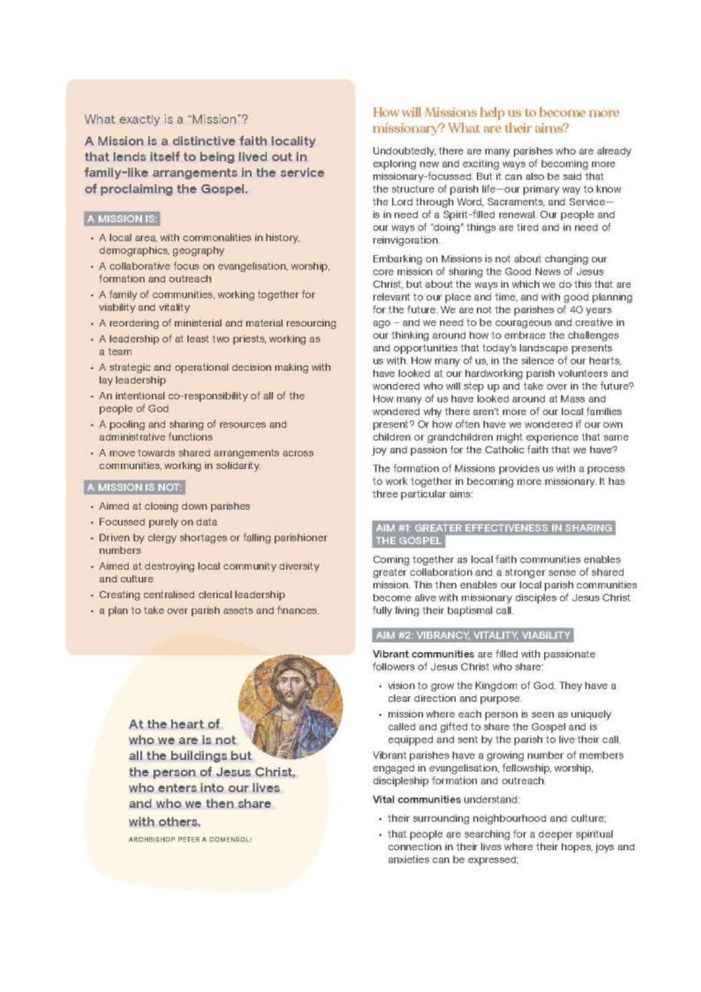## What exactly is a "Mission"?

A Mission is a distinctive faith locality that lends itself to being lived out in family-like arrangements in the service of proclaiming the Gospel.

## A MISSION IS:

- A local area, with commonalities in history, demographics, geography
- A collaborative focus on evangelisation, worship, formation and outreach
- A family of communities, working together for viability and vitality
- A reordering of ministerial and material resourcing
- A leadership of at least two priests, working as a team
- A strategic and operational decision making with lay leadership
- An intentional co-responsibility of all of the people of God
- A pooling and sharing of resources and administrative functions
- A move towards shared arrangements across communities, working in solidarity.

### A MISSION IS NOT:

- Aimed at closing down parishes
- Focussed purely on data
- Driven by clergy shortages or falling parishioner numbers
- Aimed at destroying local community diversity and culture
- Creating centralised clerical leadership
- a plan to take over parish assets and finances.

At the heart of who we are is not all the buildings but the person of Jesus Christ, who enters into our lives and who we then share with others.

ARCHBISHOP PETER A COMENSOLI

## How will Missions help us to become more missionary? What are their aims?

Undoubtedly, there are many parishes who are already exploring new and exciting ways of becoming more missionary-focussed. But it can also be said that the structure of parish life-our primary way to know the Lord through Word, Sacraments, and Serviceis in need of a Spirit-filled renewal. Our people and our ways of "doing" things are tired and in need of reinvigoration.

Embarking on Missions is not about changing our core mission of sharing the Good News of Jesus Christ, but about the ways in which we do this that are relevant to our place and time, and with good planning for the future. We are not the parishes of 40 years ago - and we need to be courageous and creative in our thinking around how to embrace the challenges and opportunities that today's landscape presents us with. How many of us, in the silence of our hearts, have looked at our hardworking parish volunteers and wondered who will step up and take over in the future? How many of us have looked around at Mass and wondered why there aren't more of our local families present? Or how often have we wondered if our own children or grandchildren might experience that same joy and passion for the Catholic faith that we have?

The formation of Missions provides us with a process to work together in becoming more missionary. It has three particular aims:

### AIM #1: GREATER EFFECTIVENESS IN SHARING THE GOSPEL

Coming together as local faith communities enables greater collaboration and a stronger sense of shared mission. This then enables our local parish communities become alive with missionary disciples of Jesus Christ fully living their baptismal call.

## AIM #2: VIBRANCY, VITALITY, VIABILITY

Vibrant communities are filled with passionate followers of Jesus Christ who share:

- vision to grow the Kingdom of God. They have a clear direction and purpose.
- · mission where each person is seen as uniquely called and gifted to share the Gospel and is equipped and sent by the parish to live their call.

Vibrant parishes have a growing number of members engaged in evangelisation, fellowship, worship, discipleship formation and outreach.

Vital communities understand:

- their surrounding neighbourhood and culture;
- · that people are searching for a deeper spiritual connection in their lives where their hopes, joys and anxieties can be expressed;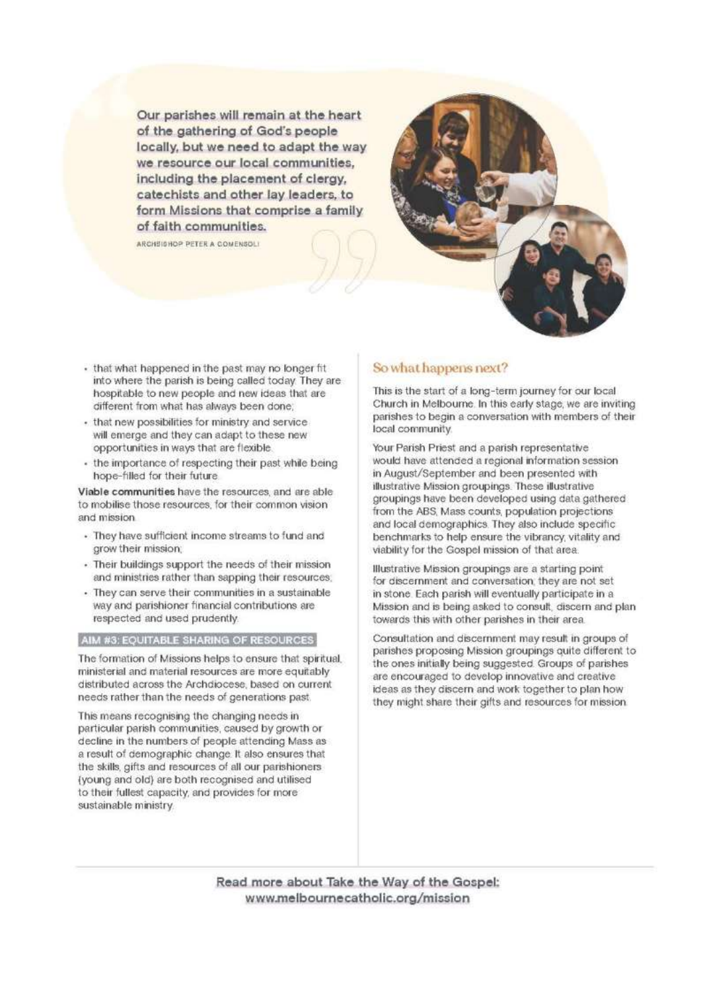Our parishes will remain at the heart of the gathering of God's people locally, but we need to adapt the way we resource our local communities. including the placement of clergy. catechists and other lay leaders, to form Missions that comprise a family of faith communities.

ARCHBIOHOP PETER A COMENSOLI



- that what happened in the past may no longer fit into where the parish is being called today. They are hospitable to new people and new ideas that are different from what has always been done;
- that new possibilities for ministry and service will emerge and they can adapt to these new opportunities in ways that are flexible
- the importance of respecting their past while being hope-filled for their future.

Viable communities have the resources, and are able to mobilise those resources for their common vision and mission.

- · They have sufficient income streams to fund and grow their mission;
- Their buildings support the needs of their mission and ministries rather than sapping their resources;
- They can serve their communities in a sustainable way and parishioner financial contributions are respected and used prudently.

#### AIM #3: EQUITABLE SHARING OF RESOURCES

The formation of Missions helps to ensure that spiritual. ministerial and material resources are more equitably distributed across the Archdiocese, based on current needs rather than the needs of generations past.

This means recognising the changing needs in particular parish communities, caused by growth or decline in the numbers of people attending Mass as a result of demographic change. It also ensures that the skills, gifts and resources of all our parishioners (young and old) are both recognised and utilised to their fullest capacity, and provides for more sustainable ministry.

## So what happens next?

This is the start of a long-term journey for our local Church in Melbourne. In this early stage, we are inviting parishes to begin a conversation with members of their local community.

Your Parish Priest and a parish representative would have attended a regional information session in August/September and been presented with illustrative Mission groupings. These illustrative groupings have been developed using data gathered from the ABS, Mass counts, population projections and local demographics. They also include specific benchmarks to help ensure the vibrancy, vitality and viability for the Gospel mission of that area.

Illustrative Mission groupings are a starting point for discernment and conversation, they are not set in stone. Each parish will eventually participate in a Mission and is being asked to consult, discern and plan towards this with other parishes in their area.

Consultation and discernment may result in groups of parishes proposing Mission groupings quite different to the ones initially being suggested. Groups of parishes are encouraged to develop innovative and creative ideas as they discern and work together to plan how they might share their gifts and resources for mission.

Read more about Take the Way of the Gospel: www.melbournecatholic.org/mission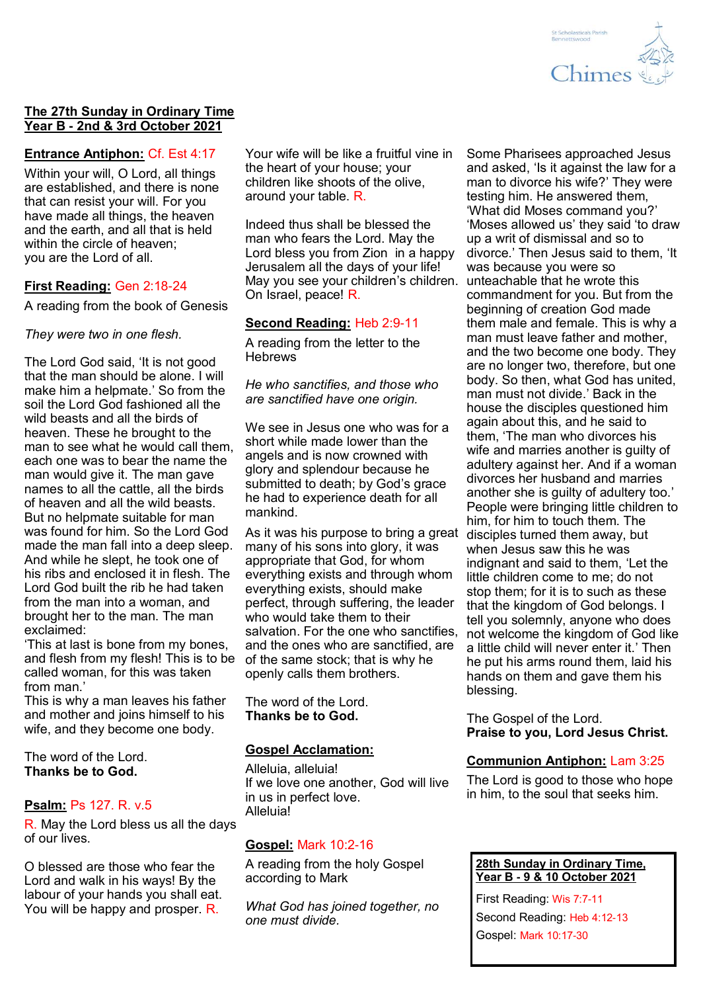

## **The 27th Sunday in Ordinary Time Year B - 2nd & 3rd October 2021**

## **Entrance Antiphon:** Cf. Est 4:17

Within your will, O Lord, all things are established, and there is none that can resist your will. For you have made all things, the heaven and the earth, and all that is held within the circle of heaven: you are the Lord of all.

## **First Reading:** Gen 2:18-24

A reading from the book of Genesis

*They were two in one flesh.*

The Lord God said, 'It is not good that the man should be alone. I will make him a helpmate.' So from the soil the Lord God fashioned all the wild beasts and all the birds of heaven. These he brought to the man to see what he would call them each one was to bear the name the man would give it. The man gave names to all the cattle, all the birds of heaven and all the wild beasts. But no helpmate suitable for man was found for him. So the Lord God made the man fall into a deep sleep. And while he slept, he took one of his ribs and enclosed it in flesh. The Lord God built the rib he had taken from the man into a woman, and brought her to the man. The man exclaimed:

'This at last is bone from my bones, and flesh from my flesh! This is to be called woman, for this was taken from man.'

This is why a man leaves his father and mother and joins himself to his wife, and they become one body.

The word of the Lord. **Thanks be to God.**

## **Psalm:** Ps 127. R. v.5

R. May the Lord bless us all the days of our lives.

O blessed are those who fear the Lord and walk in his ways! By the labour of your hands you shall eat. You will be happy and prosper. R.

Your wife will be like a fruitful vine in the heart of your house; your children like shoots of the olive, around your table. R.

Indeed thus shall be blessed the man who fears the Lord. May the Lord bless you from Zion in a happy Jerusalem all the days of your life! May you see your children's children. On Israel, peace! R.

## **Second Reading:** Heb 2:9-11

A reading from the letter to the **Hebrews** 

*He who sanctifies, and those who are sanctified have one origin.*

We see in Jesus one who was for a short while made lower than the angels and is now crowned with glory and splendour because he submitted to death; by God's grace he had to experience death for all mankind.

As it was his purpose to bring a great disciples turned them away, but many of his sons into glory, it was appropriate that God, for whom everything exists and through whom everything exists, should make perfect, through suffering, the leader who would take them to their salvation. For the one who sanctifies, and the ones who are sanctified, are of the same stock; that is why he openly calls them brothers.

The word of the Lord. **Thanks be to God.**

## **Gospel Acclamation:**

Alleluia, alleluia! If we love one another, God will live in us in perfect love. Alleluia!

## **Gospel:** Mark 10:2-16

A reading from the holy Gospel according to Mark

*What God has joined together, no one must divide.*

Some Pharisees approached Jesus and asked, 'Is it against the law for a man to divorce his wife?' They were testing him. He answered them, 'What did Moses command you?' 'Moses allowed us' they said 'to draw up a writ of dismissal and so to divorce.' Then Jesus said to them, 'It was because you were so unteachable that he wrote this commandment for you. But from the beginning of creation God made them male and female. This is why a man must leave father and mother, and the two become one body. They are no longer two, therefore, but one body. So then, what God has united, man must not divide.' Back in the house the disciples questioned him again about this, and he said to them, 'The man who divorces his wife and marries another is guilty of adultery against her. And if a woman divorces her husband and marries another she is guilty of adultery too.' People were bringing little children to him, for him to touch them. The when Jesus saw this he was indignant and said to them, 'Let the little children come to me; do not stop them; for it is to such as these that the kingdom of God belongs. I tell you solemnly, anyone who does not welcome the kingdom of God like a little child will never enter it.' Then he put his arms round them, laid his hands on them and gave them his blessing.

The Gospel of the Lord. **Praise to you, Lord Jesus Christ.**

## **Communion Antiphon:** Lam 3:25

The Lord is good to those who hope in him, to the soul that seeks him.

## **28th Sunday in Ordinary Time, Year B - 9 & 10 October 2021**

First Reading: Wis 7:7-11 Second Reading: Heb 4:12-13 Gospel: Mark 10:17-30